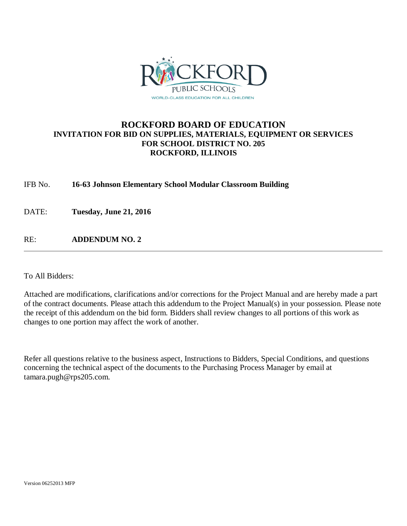

### **ROCKFORD BOARD OF EDUCATION INVITATION FOR BID ON SUPPLIES, MATERIALS, EQUIPMENT OR SERVICES FOR SCHOOL DISTRICT NO. 205 ROCKFORD, ILLINOIS**

IFB No. **16-63 Johnson Elementary School Modular Classroom Building**

DATE: **Tuesday, June 21, 2016**

RE: **ADDENDUM NO. 2**

To All Bidders:

Attached are modifications, clarifications and/or corrections for the Project Manual and are hereby made a part of the contract documents. Please attach this addendum to the Project Manual(s) in your possession. Please note the receipt of this addendum on the bid form. Bidders shall review changes to all portions of this work as changes to one portion may affect the work of another.

Refer all questions relative to the business aspect, Instructions to Bidders, Special Conditions, and questions concerning the technical aspect of the documents to the Purchasing Process Manager by email at tamara.pugh@rps205.com.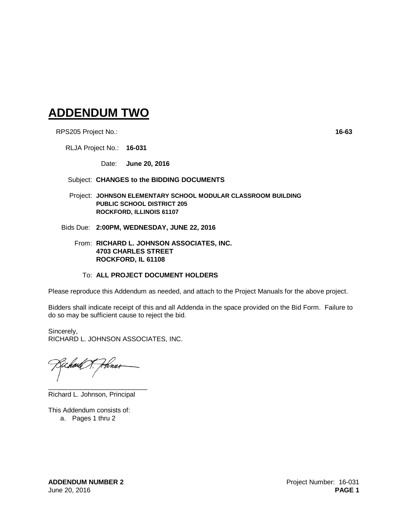# **ADDENDUM TWO**

RPS205 Project No.: **16-63**

RLJA Project No.: **16-031**

Date: **June 20, 2016**

- Subject: **CHANGES to the BIDDING DOCUMENTS**
- Project: **JOHNSON ELEMENTARY SCHOOL MODULAR CLASSROOM BUILDING PUBLIC SCHOOL DISTRICT 205 ROCKFORD, ILLINOIS 61107**
- Bids Due: **2:00PM, WEDNESDAY, JUNE 22, 2016**
	- From: **RICHARD L. JOHNSON ASSOCIATES, INC. 4703 CHARLES STREET ROCKFORD, IL 61108**

#### To: **ALL PROJECT DOCUMENT HOLDERS**

Please reproduce this Addendum as needed, and attach to the Project Manuals for the above project.

Bidders shall indicate receipt of this and all Addenda in the space provided on the Bid Form. Failure to do so may be sufficient cause to reject the bid.

Sincerely, RICHARD L. JOHNSON ASSOCIATES, INC.

hødt <del>1. Ji</del>hner

\_\_\_\_\_\_\_\_\_\_\_\_\_\_\_\_\_\_\_\_\_\_\_\_\_\_\_ Richard L. Johnson, Principal

This Addendum consists of: a. Pages 1 thru 2